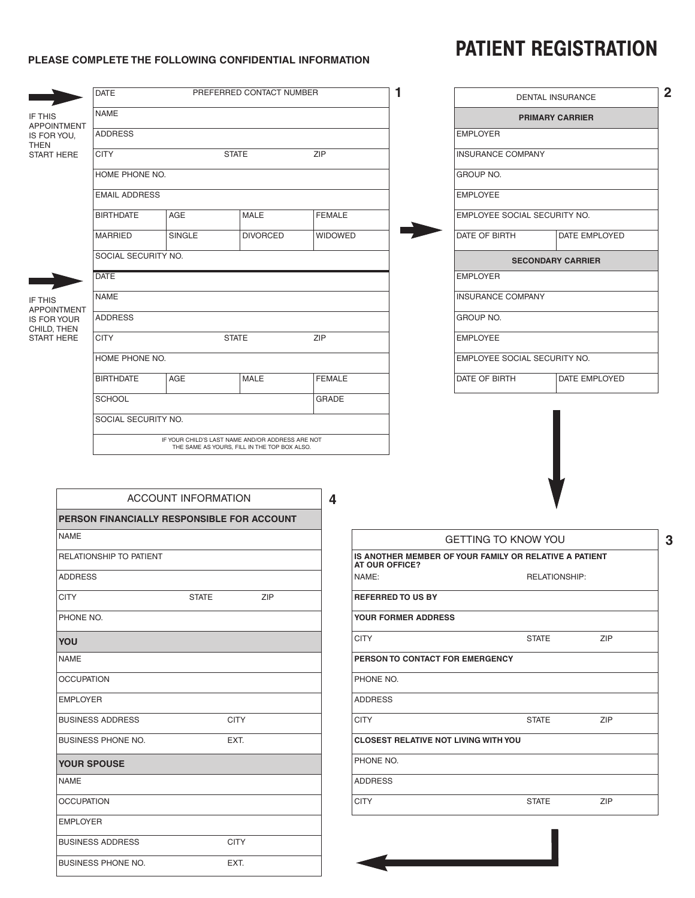## PATIENT REGISTRATION

## **PLEASE COMPLETE THE FOLLOWING CONFIDENTIAL INFORMATION**

|                                            | <b>DATE</b>                               |                | PREFERRED CONTACT NUMBER                   |                         | 1                          |                                                        | DENTAL INSURANCE         |            |
|--------------------------------------------|-------------------------------------------|----------------|--------------------------------------------|-------------------------|----------------------------|--------------------------------------------------------|--------------------------|------------|
| IF THIS                                    | <b>NAME</b>                               |                |                                            |                         |                            |                                                        | <b>PRIMARY CARRIER</b>   |            |
| <b>APPOINTMENT</b><br>IS FOR YOU,          | <b>ADDRESS</b>                            |                |                                            |                         |                            | <b>EMPLOYER</b>                                        |                          |            |
| <b>THEN</b><br><b>START HERE</b>           | <b>ZIP</b><br><b>CITY</b><br><b>STATE</b> |                |                                            |                         |                            | <b>INSURANCE COMPANY</b>                               |                          |            |
|                                            | HOME PHONE NO.                            |                |                                            |                         |                            | <b>GROUP NO.</b>                                       |                          |            |
|                                            | <b>EMAIL ADDRESS</b>                      |                |                                            |                         |                            | <b>EMPLOYEE</b>                                        |                          |            |
|                                            | <b>BIRTHDATE</b>                          | AGE            | MALE                                       | <b>FEMALE</b>           |                            | EMPLOYEE SOCIAL SECURITY NO.                           |                          |            |
|                                            | <b>MARRIED</b>                            | <b>SINGLE</b>  | <b>DIVORCED</b>                            | <b>WIDOWED</b>          |                            | DATE OF BIRTH                                          | DATE EMPLOYED            |            |
|                                            | SOCIAL SECURITY NO.                       |                |                                            |                         |                            |                                                        | <b>SECONDARY CARRIER</b> |            |
|                                            | <b>DATE</b>                               |                |                                            |                         |                            | <b>EMPLOYER</b>                                        |                          |            |
| IF THIS                                    | <b>NAME</b>                               |                |                                            |                         |                            | <b>INSURANCE COMPANY</b>                               |                          |            |
| <b>APPOINTMENT</b><br><b>IS FOR YOUR</b>   | <b>ADDRESS</b>                            |                |                                            |                         |                            | GROUP NO.                                              |                          |            |
| CHILD, THEN<br><b>START HERE</b>           | <b>CITY</b><br><b>STATE</b>               |                |                                            | <b>ZIP</b>              |                            | <b>EMPLOYEE</b>                                        |                          |            |
|                                            |                                           | HOME PHONE NO. |                                            |                         |                            | EMPLOYEE SOCIAL SECURITY NO.                           |                          |            |
|                                            | <b>BIRTHDATE</b>                          | AGE            | MALE                                       | <b>FEMALE</b>           |                            | DATE OF BIRTH                                          | DATE EMPLOYED            |            |
|                                            | <b>SCHOOL</b>                             |                |                                            | GRADE                   |                            |                                                        |                          |            |
|                                            | SOCIAL SECURITY NO.                       |                |                                            |                         |                            |                                                        |                          |            |
|                                            |                                           |                | PERSON FINANCIALLY RESPONSIBLE FOR ACCOUNT | $\overline{\mathbf{4}}$ |                            |                                                        |                          |            |
| NAME                                       |                                           |                |                                            |                         |                            | <b>GETTING TO KNOW YOU</b>                             |                          |            |
|                                            | RELATIONSHIP TO PATIENT                   |                |                                            |                         | AT OUR OFFICE?             | IS ANOTHER MEMBER OF YOUR FAMILY OR RELATIVE A PATIENT |                          |            |
| <b>ADDRESS</b><br><b>CITY</b><br>PHONE NO. |                                           |                |                                            | NAME:                   |                            |                                                        | <b>RELATIONSHIP:</b>     |            |
|                                            |                                           | <b>STATE</b>   | ZIP                                        |                         | <b>REFERRED TO US BY</b>   |                                                        |                          |            |
|                                            |                                           |                |                                            |                         | <b>YOUR FORMER ADDRESS</b> |                                                        |                          |            |
| YOU                                        |                                           |                |                                            | <b>CITY</b>             |                            |                                                        | <b>STATE</b>             | <b>ZIP</b> |
| NAME                                       |                                           |                |                                            |                         |                            | PERSON TO CONTACT FOR EMERGENCY                        |                          |            |
| <b>OCCUPATION</b>                          |                                           |                |                                            |                         | PHONE NO.                  |                                                        |                          |            |
| <b>EMPLOYER</b>                            |                                           |                |                                            | <b>ADDRESS</b>          |                            |                                                        |                          |            |
|                                            | <b>BUSINESS ADDRESS</b>                   |                | <b>CITY</b>                                | <b>CITY</b>             |                            |                                                        | <b>STATE</b>             |            |
|                                            | BUSINESS PHONE NO.<br>EXT.                |                |                                            |                         |                            |                                                        |                          | ZIP        |
|                                            |                                           |                |                                            |                         |                            | <b>CLOSEST RELATIVE NOT LIVING WITH YOU</b>            |                          |            |
| NAME                                       | <b>YOUR SPOUSE</b>                        |                |                                            | PHONE NO.               |                            |                                                        |                          |            |
|                                            |                                           |                |                                            | <b>ADDRESS</b>          |                            |                                                        |                          |            |
| <b>OCCUPATION</b>                          |                                           |                |                                            | <b>CITY</b>             |                            |                                                        | <b>STATE</b>             | ZIP        |
| <b>EMPLOYER</b>                            |                                           |                |                                            |                         |                            |                                                        |                          |            |
|                                            | <b>BUSINESS ADDRESS</b>                   |                | <b>CITY</b>                                |                         |                            |                                                        |                          |            |

G

EXT.

BUSINESS PHONE NO.